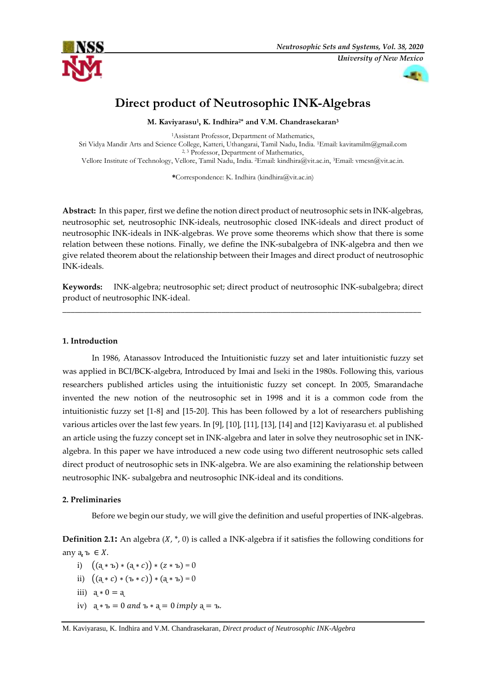



# **Direct product of Neutrosophic INK-Algebras**

**M. Kaviyarasu<sup>1</sup> , K. Indhira 2\* and V.M. Chandrasekaran<sup>3</sup>**

<sup>1</sup>Assistant Professor, Department of Mathematics, Sri Vidya Mandir Arts and Science College, Katteri, Uthangarai, Tamil Nadu, India. <sup>1</sup>Email: [kavitamilm@gmail.com](mailto:kavitamilm@gmail.com) <sup>2, 3</sup> Professor, Department of Mathematics, Vellore Institute of Technology, Vellore, Tamil Nadu, India. <sup>2</sup>Email[: kindhira@vit.ac.in,](mailto:kindhira@vit.ac.in,) <sup>3</sup>Email[: vmcsn@vit.ac.in.](mailto:vmcsn@vit.ac.in.)

**\***Correspondence: K. Indhira (kindhira@vit.ac.in)

Abstract: In this paper, first we define the notion direct product of neutrosophic sets in INK-algebras, neutrosophic set, neutrosophic INK-ideals, neutrosophic closed INK-ideals and direct product of neutrosophic INK-ideals in INK-algebras. We prove some theorems which show that there is some relation between these notions. Finally, we define the INK-subalgebra of INK-algebra and then we give related theorem about the relationship between their Images and direct product of neutrosophic INK-ideals.

**Keywords:** INK-algebra; neutrosophic set; direct product of neutrosophic INK-subalgebra; direct product of neutrosophic INK-ideal.

\_\_\_\_\_\_\_\_\_\_\_\_\_\_\_\_\_\_\_\_\_\_\_\_\_\_\_\_\_\_\_\_\_\_\_\_\_\_\_\_\_\_\_\_\_\_\_\_\_\_\_\_\_\_\_\_\_\_\_\_\_\_\_\_\_\_\_\_\_\_\_\_\_\_\_\_\_\_\_\_\_\_\_\_\_\_\_\_

### **1. Introduction**

In 1986, Atanassov Introduced the Intuitionistic fuzzy set and later intuitionistic fuzzy set was applied in BCI/BCK-algebra, Introduced by Imai and Iseki in the 1980s. Following this, various researchers published articles using the intuitionistic fuzzy set concept. In 2005, Smarandache invented the new notion of the neutrosophic set in 1998 and it is a common code from the intuitionistic fuzzy set [1-8] and [15-20]. This has been followed by a lot of researchers publishing various articles over the last few years. In [9], [10], [11], [13], [14] and [12] Kaviyarasu et. al published an article using the fuzzy concept set in INK-algebra and later in solve they neutrosophic set in INKalgebra. In this paper we have introduced a new code using two different neutrosophic sets called direct product of neutrosophic sets in INK-algebra. We are also examining the relationship between neutrosophic INK- subalgebra and neutrosophic INK-ideal and its conditions.

## **2. Preliminaries**

Before we begin our study, we will give the definition and useful properties of INK-algebras.

**Definition 2.1:** An algebra  $(X, *$ , 0) is called a INK-algebra if it satisfies the following conditions for апу  $a, b \in X$ .

- i)  $((a * b) * (a * c)) * (z * b) = 0$
- ii)  $((a * c) * (b * c)) * (a * b) = 0$
- iii)  $a * 0 = a$
- iv)  $a * b = 0$  and  $b * a = 0$  imply  $a = b$ .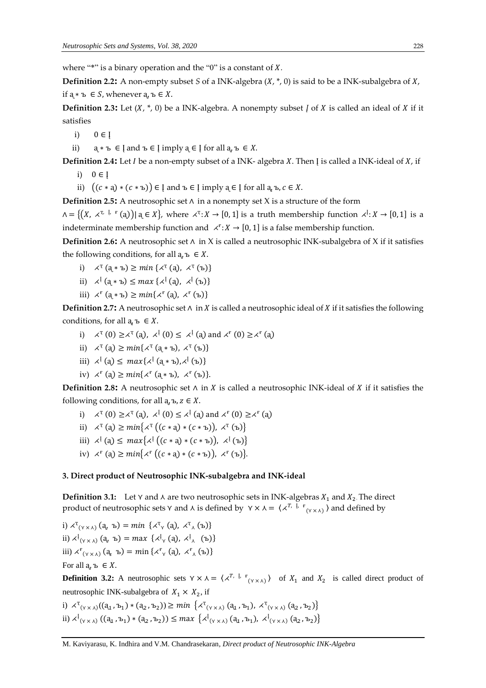where "\*" is a binary operation and the "0" is a constant of *X*.

**Definition 2.2:** A non-empty subset *S* of a INK-algebra  $(X, *$ , 0) is said to be a INK-subalgebra of *X*, if  $a \cdot b$  ∈ *S*, whenever  $a, b \in X$ .

**Definition 2.3:** Let  $(X, * , 0)$  be a INK-algebra. A nonempty subset *I* of *X* is called an ideal of *X* if it satisfies

i)  $0 \in I$ 

ii)  $a * b \in I$  and  $b \in I$  imply  $a \in I$  for all  $a, b \in X$ .

**Definition 2.4:** Let *I* be a non-empty subset of a INK- algebra *X*. Then *J* is called a INK-ideal of *X*, if

- i)  $0 \in I$
- ii)  $((c * a) * (c * b)) \in \mathfrak{l}$  and  $b \in \mathfrak{l}$  imply  $a \in \mathfrak{l}$  for all  $a_a b, c \in X$ .

**Definition 2.5:** A neutrosophic set ∧ in a nonempty set X is a structure of the form

 $\Lambda = \{(X, \times^{\tau, \mathbb{L}, \mathbb{F}}(a)) | a \in X\}$ , where  $\star^{\tau}: X \to [0, 1]$  is a truth membership function  $\star^{\mathbb{L}}: X \to [0, 1]$  is a indeterminate membership function and  $\langle f : X \rangle$  = [0, 1] is a false membership function.

**Definition 2.6:** A neutrosophic set ∧ in X is called a neutrosophic INK-subalgebra of X if it satisfies the following conditions, for all  $a_n$ ,  $b \in X$ .

- i)  $\lambda^T$   $(a * b) \geq min \{ \lambda^T$   $(a), \lambda^T$   $(b) \}$
- ii)  $\lambda^{\{[\mathfrak{a} * \mathfrak{b} \mathfrak{b} \leq \max\{\lambda^{\{[\mathfrak{a}]}, \lambda^{\{[\mathfrak{b}]\}} \} \}$
- iii)  $\angle^F$  (а ∗ъ) ≥  $min\{\angle^F$  (а),  $\angle^F$  (ъ)}

**Definition 2.7<sup></sup>:** A neutrosophic set  $∧$  in  $X$  is called a neutrosophic ideal of  $X$  if it satisfies the following conditions, for all  $a, b \in X$ .

- i)  $\lambda^T(0) \ge \lambda^T(a)$ ,  $\lambda^T(0) \le \lambda^T(a)$  and  $\lambda^F(0) \ge \lambda^F(a)$
- ii)  $\lambda^T$  (a)  $\geq \min\{\lambda^T$  (a \* ъ),  $\lambda^T$  (ъ)}
- iii)  $\lambda^{\mathrm{I}}(a) \leq \max\{\lambda^{\mathrm{I}}(a * b), \lambda^{\mathrm{I}}(b)\}\$
- iv)  $\angle^{\mathbf{F}}(\mathbf{a}) \geq min\{\angle^{\mathbf{F}}(\mathbf{a} * \mathbf{b}), \angle^{\mathbf{F}}(\mathbf{b})\}.$

**Definition 2.8:** A neutrosophic set  $\wedge$  in *X* is called a neutrosophic INK-ideal of *X* if it satisfies the following conditions, for all  $a, b, z \in X$ .

- i)  $\lambda^T(0) \ge \lambda^T(a)$ ,  $\lambda^T(0) \le \lambda^T(a)$  and  $\lambda^F(0) \ge \lambda^F(a)$
- ii)  $\lambda^T$  (a)  $\geq min\{\lambda^T((c * a) * (c * b)), \lambda^T (b)\}\$
- iii)  $\lambda^{\{ }\; (a) \leq max\big\{ \lambda^{\{ }\big((c * a) * (c * b)\big), \lambda^{\{ }\}(b)\big\}}$
- iv)  $\lambda^{\text{F}}$  (a)  $\geq \min\{\lambda^{\text{F}} ((c * a) * (c * b)), \lambda^{\text{F}} (b)\}.$

#### **3. Direct product of Neutrosophic INK-subalgebra and INK-ideal**

**Definition 3.1:** Let  $Y$  and  $\lambda$  are two neutrosophic sets in INK-algebras  $X_1$  and  $X_2$ . The direct product of neutrosophic sets  $Y$  and  $\lambda$  is defined by  $Y \times \lambda = \langle \lambda^{T, \varphi} \rangle^T$  and defined by

i)  $\lambda^{\mathsf{T}}(\gamma \times \lambda)$  (a<sub>v</sub> ъ) = min { $\lambda^{\mathsf{T}}(\gamma)$  (a),  $\lambda^{\mathsf{T}}(\lambda)$  (ъ)} ii)  $\lambda^{i}$ <sub>(Y  $\times$   $\lambda$ ) (a<sub>v</sub> b) = max { $\lambda^{i}$ <sub>Y</sub> (a),  $\lambda^{i}$ <sub>A</sub> (b)}</sub> iii)  $\chi^{\mathbf{F}}$ <sub>(Y X A</sub>) (a<sub>u</sub> ъ) = min { $\chi^{\mathbf{F}}$ <sub>Y</sub> (a),  $\chi^{\mathbf{F}}$ <sub>A</sub> (ъ)} For all  $a, b \in X$ .

**Definition 3.2:** A neutrosophic sets  $Y \times \lambda = \langle \lambda^{T, \lambda} \rangle^T$  of  $X_1$  and  $X_2$  is called direct product of neutrosophic INK-subalgebra of  $X_1 \times X_2$ , if

i)  $\lambda^{T}(y \times \lambda)((a_{1}, b_{1}) * (a_{2}, b_{2})) \ge min \{ \lambda^{T}(y \times \lambda)(a_{1}, b_{1}), \lambda^{T}(y \times \lambda)(a_{2}, b_{2}) \}$ ii)  $\chi^{\{1\}}_{(\gamma \times \lambda)} ((a_1, b_1) * (a_2, b_2)) \le max \{ \chi^{\{1\}}_{(\gamma \times \lambda)} (a_1, b_1), \chi^{\{1\}}_{(\gamma \times \lambda)} (a_2, b_2) \}$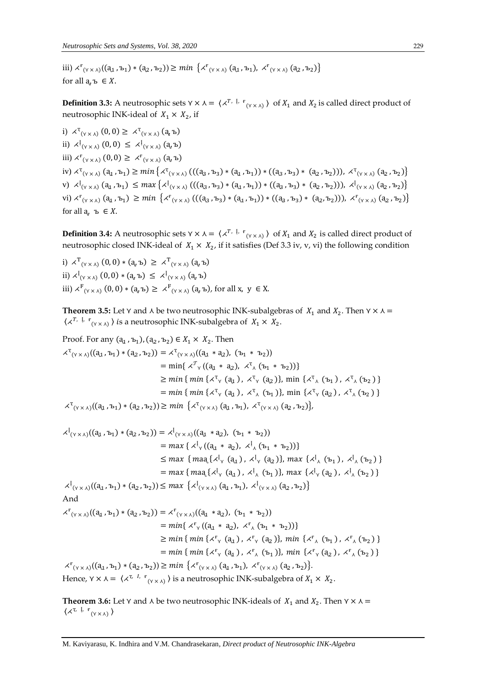iii)  $\chi^{\text{F}}_{(\gamma \times \lambda)}((a_1, b_1) * (a_2, b_2)) \ge \min \left\{ \chi^{\text{F}}_{(\gamma \times \lambda)} (a_1, b_1), \chi^{\text{F}}_{(\gamma \times \lambda)} (a_2, b_2) \right\}$ for all  $a, b \in X$ .

**Definition 3.3:** A neutrosophic sets  $Y \times \lambda = \langle X^{T, \lambda} \cdot \mathbf{F}_{(Y \times \lambda)} \rangle$  of  $X_1$  and  $X_2$  is called direct product of neutrosophic INK-ideal of  $X_1 \times X_2$ , if

i)  $\lambda^{\mathsf{T}}(\mathsf{y} \times \mathsf{x})$  (0,0)  $\geq \lambda^{\mathsf{T}}(\mathsf{y} \times \mathsf{x})$  (a<sub>u</sub> b) ii)  $\lambda^{\lceil}$  (γ ×  $\lambda$ ) (0, 0) ≤  $\lambda^{\lceil}$  (γ ×  $\lambda$ ) (a, ъ) iii)  $\chi^{\text{F}}$ <sub>(Y × ∧)</sub> (0, 0) ≥  $\chi^{\text{F}}$ <sub>(Y × ∧)</sub> (а, ъ)  $\text{div}) \times^{\mathsf{T}} (\mathsf{v} \times \mathsf{x}) \left( \mathsf{q}_1, \mathsf{b}_1 \right) \ge \min \left\{ \times^{\mathsf{T}} (\mathsf{v} \times \mathsf{x}) \left( ((\mathsf{a}_3, \mathsf{b}_3) * (\mathsf{a}_1, \mathsf{b}_1)) * ((\mathsf{a}_3, \mathsf{b}_3) * (\mathsf{a}_2, \mathsf{b}_2)) \right), \times^{\mathsf{T}} (\mathsf{v} \times \mathsf{x}) \left( \mathsf{a}_2, \mathsf{b}_2 \right) \right\}$ v)  $\lambda^{\{(\gamma_{\times\lambda})\}}(a_1, b_1) \leq max \{ \lambda^{\{(\gamma_{\times\lambda})\}}((a_3, b_3) * (a_1, b_1)) * ((a_3, b_3) * (a_2, b_2))), \lambda^{\{(\gamma_{\times\lambda})\}}(a_2, b_2) \}$ vi)  $\chi^{\text{F}}_{(\gamma \times \lambda)}(a_1, b_1) \ge \min \left\{ \chi^{\text{F}}_{(\gamma \times \lambda)}((a_3, b_3) * (a_1, b_1)) * ((a_3, b_3) * (a_2, b_2)) \right\}, \chi^{\text{F}}_{(\gamma \times \lambda)}(a_2, b_2) \right\}$ for all a,  $b \in X$ .

**Definition 3.4:** A neutrosophic sets  $Y \times \lambda = \langle \lambda^{T, \downarrow} \cdot \mu_{(Y \times \lambda)} \rangle$  of  $X_1$  and  $X_2$  is called direct product of neutrosophic closed INK-ideal of  $X_1 \times X_2$ , if it satisfies (Def 3.3 iv, v, vi) the following condition

i)  $\lambda^{\mathrm{T}}_{(\gamma \times \lambda)}(0,0) * (a_{\nu} b) \geq \lambda^{\mathrm{T}}_{(\gamma \times \lambda)}(a_{\nu} b)$ ii)  $\lambda^{[}(\gamma \times \lambda)$  (0,0) \* (а,ъ) ≤  $\lambda^{[}(\gamma \times \lambda)$  (а,ъ) iii)  $\langle X^F(x), \chi \rangle$  (0, 0) \* (а, ъ) ≥  $\langle X^F(x), \chi \rangle$  (а, ъ), for all x,  $y \in X$ .

**Theorem 3.5:** Let  $Y$  and  $\lambda$  be two neutrosophic INK-subalgebras of  $X_1$  and  $X_2$ . Then  $Y \times \lambda =$  $\langle \chi^{T, \mathrm{L} + \mathrm{F}}_{(\mathrm{Y} \times \mathrm{A})} \rangle$  is a neutrosophic INK-subalgebra of  $X_1 \times X_2$ .

Proof. For any 
$$
(a_1, b_1), (a_2, b_2) \in X_1 \times X_2
$$
. Then  
\n
$$
\begin{aligned}\n&\times^T_{(\gamma \times \lambda)}((a_1, b_1) * (a_2, b_2)) = \times^T_{(\gamma \times \lambda)}((a_1 * a_2), (b_1 * b_2)) \\
&= \min\{\n&\times^T_{\gamma}((a_1 * a_2), \times^T_{\lambda} (b_1 * b_2))\} \\
&\geq \min\{\min\{\n&\times^T_{\gamma} (a_1), \times^T_{\gamma} (a_2)\}, \min\{\n&\times^T_{\lambda} (b_1), \times^T_{\lambda} (b_2)\} \\
&= \min\{\min\{\n&\times^T_{\gamma} (a_1), \times^T_{\lambda} (b_1)\}, \min\{\n&\times^T_{\gamma} (a_2), \times^T_{\lambda} (b_2)\} \\
&\leq \min\{\min\{\n&\times^T_{\gamma \times \lambda)}((a_1, b_1) * (a_2, b_2))\} \geq \min\{\n&\times^T_{(\gamma \times \lambda)}(a_1, b_1), \times^T_{(\gamma \times \lambda)}(a_2, b_2)\},\n\end{aligned}
$$

$$
\lambda^{I}(y \times \lambda)((a_{1}, b_{1}) * (a_{2}, b_{2})) = \lambda^{I}(y \times \lambda)((a_{1} * a_{2}), (b_{1} * b_{2}))
$$
\n
$$
= max \{ \lambda^{I}(((a_{1} * a_{2}), \lambda^{I}(b_{1} * b_{2})))
$$
\n
$$
\leq max \{ max \{ \max \{ \lambda^{I}(((a_{1}), \lambda^{I}(a_{1}), \lambda^{I}(a_{2})), \max \{ \lambda^{I}(((b_{1}), \lambda^{I}(b_{2})) \} \}
$$
\n
$$
= max \{ \max \{ \lambda^{I}(((b_{1}), \lambda^{I}(a_{1}), \lambda^{I}(b_{1})), \max \{ \lambda^{I}(((b_{2}), \lambda^{I}(b_{2}))) \} \}
$$
\n
$$
\lambda^{I}(y \times \lambda)((a_{1}, b_{1}) * (a_{2}, b_{2})) \leq max \{ \lambda^{I}(y \times \lambda)(a_{1}, b_{1}), \lambda^{I}(y \times \lambda)(a_{2}, b_{2}) \}
$$
\nAnd\n
$$
\lambda^{F}(y \times \lambda)((a_{1}, b_{1}) * (a_{2}, b_{2})) = \lambda^{F}(y \times \lambda)((a_{1} * a_{2}), (b_{1} * b_{2}))
$$
\n
$$
= min \{ \lambda^{F}(((a_{1} * a_{2}), \lambda^{F}(b_{1} * b_{2}))) \}
$$
\n
$$
\geq min \{ min \{ \lambda^{F}(((a_{1}), \lambda^{F}(a_{2})), min \{ \lambda^{F}(((b_{1}), \lambda^{F}(b_{2}))) \} \}
$$
\n
$$
= min \{ min \{ \lambda^{F}(((b_{1}), \lambda^{F}(a_{2}), \lambda^{F}(b_{2})), \min \{ \lambda^{F}(((b_{2}), \lambda^{F}(b_{2}))) \} \}
$$
\n
$$
\lambda^{F}(y \times \lambda)((a_{1}, b_{1}) * (a_{2}, b_{2})) \geq min \{ \lambda^{F}(y \times \lambda)(a_{1}, b_{1}), \lambda^{F}(y \times \lambda)(a_{2}, b_{2}) \}.
$$
\nHence,  $y \times \lambda = \{ \lambda^{T} \lambda^{I}(((b_{1}), \lambda^{I}(b_{2}))) \} \in \mathbb{R}$ 

**Theorem 3.6:** Let  $\gamma$  and  $\lambda$  be two neutrosophic INK-ideals of  $X_1$  and  $X_2$ . Then  $\gamma \times \lambda =$  $\langle \times^{T, \mathrm{I}, \mathrm{F}}_{\varphi} (Y \times \lambda) \rangle$ 

M. Kaviyarasu, K. Indhira and V.M. Chandrasekaran*, Direct product of Neutrosophic INK-Algebra*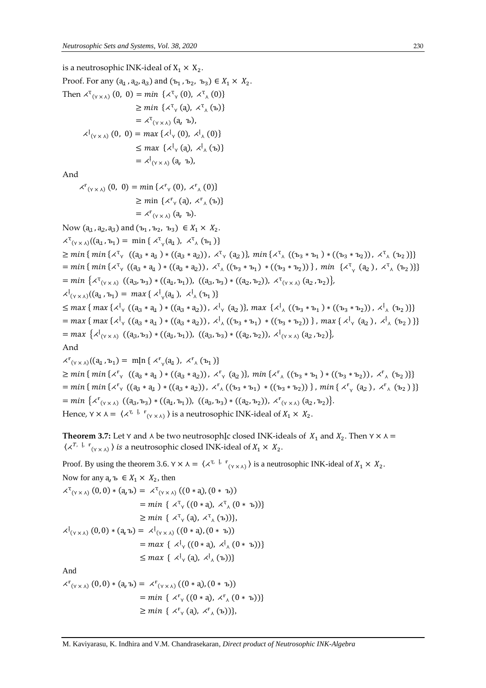is a neutrosophic INK-ideal of  $X_1 \times X_2$ . Proof. For any  $(a_1, a_2, a_3)$  and  $(b_1, b_2, b_3) \in X_1 \times X_2$ . Then  $\chi^{\mathsf{T}}_{(\gamma \times \lambda)}(0, 0) = min \{ \chi^{\mathsf{T}}_{\gamma}(0), \chi^{\mathsf{T}}_{\lambda}(0) \}$  $\geq min \{ \langle x^T \rangle (a), \langle x^T \rangle (b) \}$  $=\rightthreetimes^{\mathsf{T}}_{(\forall \times \wedge)} (\mathsf{a}, \mathsf{b}),$  $\chi^{\{t_{(\gamma \times \lambda)}(0, 0) = max\}}\left\{\chi^{\{t_{\gamma}(0), \chi^{\{t_{\lambda}(0)}\}}\right\}$  $\leq$  max { $\langle \lambda_1^{\mathfrak{t}}(a), \lambda_2^{\mathfrak{t}}(b) \rangle$  $=\ \times^{\mathfrak{t}}_{(\gamma \times \lambda)}$  (а, ъ),

And

$$
\begin{aligned} \n\mathbf{A}^{\mathbf{F}}(\mathbf{y} \times \mathbf{A}) \, (0, \ 0) &= \min \left\{ \mathbf{A}^{\mathbf{F}}(\mathbf{y}) \, , \ \mathbf{A}^{\mathbf{F}}(\mathbf{0}) \right\} \\ \n&\geq \min \left\{ \mathbf{A}^{\mathbf{F}}(\mathbf{a}), \ \mathbf{A}^{\mathbf{F}}(\mathbf{b}) \right\} \\ \n&= \mathbf{A}^{\mathbf{F}}(\mathbf{y} \times \mathbf{A}) \, ( \mathbf{a}, \ \mathbf{b} ). \n\end{aligned}
$$

Now  $(a_1, a_2, a_3)$  and  $(b_1, b_2, b_3) \in X_1 \times X_2$ .  $\chi^{T}(\gamma \times \chi)(a_1, b_1) = \min \{ \chi^{T}(\chi_{1}), \chi^{T}(\chi_{1}) \}$  $\geq min\$  {  $min\$ {  $\chi^{\text{T}}_{\text{Y}}$  (( $a_3 * a_1$ ) \* (( $a_3 * a_2$ )),  $\chi^{\text{T}}_{\text{Y}}$  ( $a_2$ )},  $min\$ { $\chi^{\text{T}}_{\text{A}}$  ( $(a_3 * b_1) *$  (( $b_3 * b_2$ )),  $\chi^{\text{T}}_{\text{A}}$  ( $b_2$ )}}  $= min \{ min \{ \lambda^T \gamma \ ((a_3 * a_1) * ((a_3 * a_2)), \lambda^T \gamma \ ((b_3 * b_1) * ((b_3 * b_2))\}, min \ {\lambda^T \gamma \ (a_2), \lambda^T \gamma \ (b_2)\} \}$  $= min \{ \lambda^{T}(y \times \lambda) \ ((a_3, b_3) * ((a_1, b_1)), ((a_3, b_3) * ((a_2, b_2)), \lambda^{T}(y \times \lambda) (a_2, b_2) \})$  $\chi^{\{t_{(\gamma \times \lambda)}((a_1, b_1)) = max\} \{\chi^{\{t_{\gamma}(a_1), \chi^{\{t_{\lambda}(b_1)}\}}\}}$  $\leq$  max {  $max \{ \lambda^l y \ ((a_3 * a_1) * ((a_3 * a_2)) \, , \, \lambda^l y \ (a_2) \},$  max  $\{ \lambda^l x \ ((b_3 * b_1) * ((b_3 * b_2)) \, , \, \lambda^l x \ (b_2) \} \}$  $=$  max { max {  $\chi$ <sup>[</sup><sub>Y</sub> ((a<sub>3</sub> \* a<sub>1</sub>) \* ((a<sub>3</sub> \* a<sub>2</sub>)),  $\chi$ <sup>[</sup><sub>A</sub> ((ъ<sub>3</sub> \* ъ<sub>1</sub>) \* ((ъ<sub>3</sub> \* ъ<sub>2</sub>))}, max {  $\chi$ <sup>[</sup><sub>Y</sub> (a<sub>2</sub>),  $\chi$ <sup>[</sup><sub>A</sub> (ъ<sub>2</sub>)}}  $= max \{ \lambda^{\{t_{(\gamma \times \lambda)} \}} ((a_3, b_3) * ((a_4, b_1)), ((a_3, b_3) * ((a_2, b_2)), \lambda^{\{t_{(\gamma \times \lambda)} (a_2, b_2)\}}),$ And  $\chi^{\rm F}$ <sub>(Y X A</sub>) ((a<sub>1</sub>, b<sub>1</sub>) = m[n {  $\chi^{\rm F}$ <sub>y</sub>(a<sub>1</sub>),  $\chi^{\rm F}$ <sub>A</sub> (b<sub>1</sub>)}  $\geq min \{ min \{ \lambda^r \setminus ((a_3 * a_1) * ((a_3 * a_2)), \lambda^r \setminus (a_2) \}, min \{ \lambda^r \setminus ((b_3 * b_1) * ((b_3 * b_2)), \lambda^r \setminus (b_2) \} \}$  $= min \{ min \{ \lambda^{\mathsf{F}}_1 \ ( (a_3 * a_1) * ((a_3 * a_2)), \lambda^{\mathsf{F}}_1 \ ( (b_3 * b_1) * ((b_3 * b_2)) \}, min \{ \lambda^{\mathsf{F}}_1 \ (a_2), \lambda^{\mathsf{F}}_1 \ (b_2) \} \}$  $= min \left\{ \lambda^{\mathsf{F}}_{(\gamma \times \lambda)} \left( (a_3, b_3) * ((a_1, b_1)), ((a_3, b_3) * ((a_2, b_2)), \lambda^{\mathsf{F}}_{(\gamma \times \lambda)} (a_2, b_2) \right) \right\}$ 

Hence,  $\gamma \times \lambda = \langle \lambda^{\tau, \dagger}, \frac{\Gamma}{\gamma} \gamma \rangle$  is a neutrosophic INK-ideal of  $X_1 \times X_2$ .

**Theorem 3.7:** Let  $\gamma$  and  $\lambda$  be two neutrosoph<sub>[c</sub> closed INK-ideals of  $X_1$  and  $X_2$ . Then  $\gamma \times \lambda =$  $\langle \times^{T, \mathbb{L}^r} f_{(\forall \times \mathcal{A})} \rangle$  is a neutrosophic closed INK-ideal of  $X_1 \times X_2$ .

Proof. By using the theorem 3.6.  $Y \times \lambda = \langle \lambda^{T, \varphi} \rangle$  is a neutrosophic INK-ideal of  $X_1 \times X_2$ . Now for any  $a_n b \in X_1 \times X_2$ , then

$$
\begin{aligned}\n&\times^{\mathrm{T}}(y \times \lambda) \left(0,0\right) * \left(\mathbf{a},\mathbf{b}\right) &= \times^{\mathrm{T}}(y \times \lambda) \left((0 \ast \mathbf{a}), (0 \ast \mathbf{b})\right) \\
&= \min \left\{ \times^{\mathrm{T}}( \left(0 \ast \mathbf{a}\right), \times^{\mathrm{T}}(0 \ast \mathbf{b})\right)\right\} \\
&\geq \min \left\{ \times^{\mathrm{T}}( \left(0 \ast \mathbf{a}\right), \times^{\mathrm{T}}( \left(0 \ast \mathbf{b}\right))\right\}, \\
&\times^{\mathrm{I}}(y \times \lambda) \left(0,0\right) * \left(\mathbf{a},\mathbf{b}\right) &= \times^{\mathrm{I}}(y \times \lambda) \left((0 \ast \mathbf{a}), (0 \ast \mathbf{b})\right) \\
&= \max \left\{ \times^{\mathrm{I}}( \left(0 \ast \mathbf{a}\right), \times^{\mathrm{I}}( \left(0 \ast \mathbf{b}\right))\right\} \\
&\leq \max \left\{ \times^{\mathrm{I}}( \left(0 \ast \mathbf{a}\right), \times^{\mathrm{I}}( \left(0 \ast \mathbf{b}\right))\right\} \\
&\leq \max \left\{ \times^{\mathrm{I}}( \left(0,0\right), \times^{\mathrm{I}}( \left(0\right))\right\} \\
&\leq \max \left\{ \times^{\mathrm{I}}( \left(0,0\right), \times^{\mathrm{I}}( \left(0\right))\right\} \\
&\leq \max \left\{ \times^{\mathrm{I}}( \left(0,0\right), \times^{\mathrm{I}}( \left(0\right))\right\} \\
&\leq \max \left\{ \times^{\mathrm{I}}( \left(0,0\right), \times^{\mathrm{I}}( \left(0\right))\right\} \\
&\leq \max \left\{ \times^{\mathrm{I}}( \left(0,0\right), \times^{\mathrm{I}}( \left(0\right))\right\} \\
&\leq \max \left\{ \times^{\mathrm{I}}( \left(0,0\right), \times^{\mathrm{I}}( \left(0\right))\right\} \\
&\leq \max \left\{ \times^{\mathrm{I}}( \left(0,0\right), \times^{\mathrm{I}}( \left(0\right))\right\} \\
&\leq
$$

$$
\begin{aligned} \n\mathcal{L}^{\mathbf{F}}(\mathbf{y} \times \mathbf{y}) \, (0,0) \ast (\mathbf{a}, \mathbf{b}) &= \mathcal{L}^{\mathbf{F}}(\mathbf{y} \times \mathbf{y}) \, ((0 \ast \mathbf{a}), (0 \ast \mathbf{b})) \\ \n&= \min \, \{ \, \mathcal{L}^{\mathbf{F}}(\mathbf{y} \, (\mathbf{0} \ast \mathbf{a}), \, \mathcal{L}^{\mathbf{F}}(\mathbf{y} \, (\mathbf{0} \ast \mathbf{b})) \} \\ \n&\geq \min \, \{ \, \mathcal{L}^{\mathbf{F}}(\mathbf{a}), \, \mathcal{L}^{\mathbf{F}}(\mathbf{b}) \} \, , \n\end{aligned}
$$

M. Kaviyarasu, K. Indhira and V.M. Chandrasekaran*, Direct product of Neutrosophic INK-Algebra*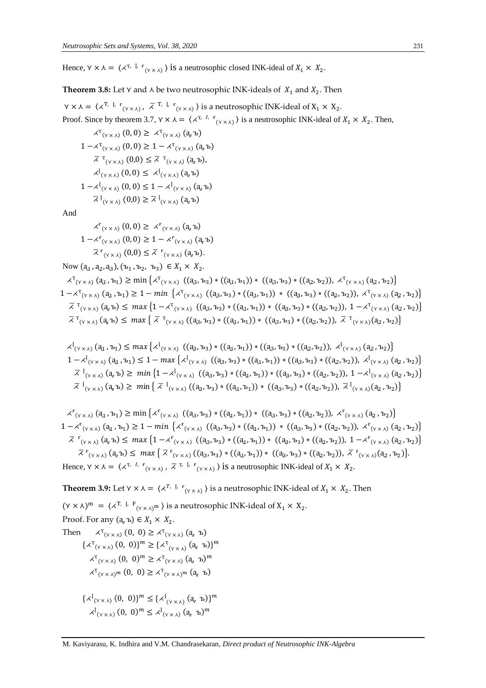Hence,  $\gamma \times \lambda = \langle \lambda^{\tau, \mathrm{I}, \mathrm{F}}_{(\gamma \times \lambda)} \rangle$  is a neutrosophic closed INK-ideal of  $X_1 \times X_2$ .

**Theorem 3.8:** Let  $Y$  and  $\lambda$  be two neutrosophic INK-ideals of  $X_1$  and  $X_2$ . Then

 $\gamma \times \lambda = \langle \chi^{\text{T, I, I}} \, \cdot \, \cdot \, \cdot \, \overline{\chi}^{\text{T, I, I}} \, \cdot \, \cdot \, \cdot \, \cdot \, \rangle$  is a neutrosophic INK-ideal of  $X_1 \times X_2$ . Proof. Since by theorem 3.7,  $Y \times \lambda = \langle \lambda^{T, I, F} (Y \times \lambda) \rangle$  is a neutrosophic INK-ideal of  $X_1 \times X_2$ . Then,

$$
\begin{aligned}\n&\times^{\mathsf{T}}(v \times \lambda) \ (0,0) \geq \ \times^{\mathsf{T}}(v \times \lambda) \ (a, \mathbf{b}) \\
1 - \mathbf{\mathsf{A}}^{\mathsf{T}}(v \times \lambda) \ (0,0) \geq 1 - \mathbf{\mathsf{A}}^{\mathsf{T}}(v \times \lambda) \ (a, \mathbf{b}) \\
&\times^{\mathsf{T}}(v \times \lambda) \ (0,0) \leq \overline{\mathsf{A}}^{\mathsf{T}}(v \times \lambda) \ (a, \mathbf{b}), \\
&\times^{\mathsf{I}}(v \times \lambda) \ (0,0) \leq \ \mathbf{\mathsf{A}}^{\mathsf{I}}(v \times \lambda) \ (a, \mathbf{b}) \\
1 - \mathbf{\mathsf{A}}^{\mathsf{I}}(v \times \lambda) \ (0,0) \leq 1 - \mathbf{\mathsf{A}}^{\mathsf{I}}(v \times \lambda) \ (a, \mathbf{b}) \\
&\times^{\mathsf{I}}(v \times \lambda) \ (0,0) \geq \overline{\mathsf{A}}^{\mathsf{T}}(v \times \lambda) \ (a, \mathbf{b})\n\end{aligned}
$$

And

$$
\begin{aligned}\n&\times^{\mathbf{F}}_{(\gamma \times \lambda)}(0,0) \geq \times^{\mathbf{F}}_{(\gamma \times \lambda)}(\mathbf{a},\mathbf{b}) \\
1 - \times^{\mathbf{F}}_{(\gamma \times \lambda)}(0,0) \geq 1 - \times^{\mathbf{F}}_{(\gamma \times \lambda)}(\mathbf{a},\mathbf{b}) \\
&\overline{\times}^{\mathbf{F}}_{(\gamma \times \lambda)}(0,0) \leq \overline{\times}^{\mathbf{F}}_{(\gamma \times \lambda)}(\mathbf{a},\mathbf{b}).\n\end{aligned}
$$

Now  $(a_1, a_2, a_3)$ ,  $(b_1, b_2, b_3) \in X_1 \times X_2$ .

 $\pi_{(\gamma \times \lambda)}(a_1, b_1) \ge \min \left\{ \pi_{(\gamma \times \lambda)}((a_3, b_3) * ((a_1, b_1)) * ((a_3, b_3) * ((a_2, b_2)), \pi_{(\gamma \times \lambda)}(a_2, b_2)) \right\}$  $1 - \lambda^{T}(\gamma \times \lambda)} (a_1, b_1) \ge 1 - \min \left\{ \lambda^{T}(\gamma \times \lambda)} ((a_3, b_3) * ((a_1, b_1)) * ((a_3, b_3) * ((a_2, b_2)), \lambda^{T}(\gamma \times \lambda) (a_2, b_2)) \right\}$  $\overline{\lambda}$ <sup>T</sup><sub>(Y × A</sub>) (**a**<sub>0</sub> **b**)  $\leq$  max  $\left\{1 - \lambda^T_{(Y \times \lambda)} ((a_3, b_3) * ((a_1, b_1)) * ((a_3, b_3) * ((a_2, b_2)), 1 - \lambda^T_{(Y \times \lambda)} (a_2, b_2))\right\}$  $\overline{\lambda}^T(\gamma \times \lambda)}$  ( $a_a b$ )  $\leq max \{ \overline{\lambda}^T(\gamma \times \lambda)} ((a_3, b_3) * ((a_1, b_1)) * ((a_3, b_3) * ((a_2, b_2)), \overline{\lambda}^T(\gamma \times \lambda)}(a_2, b_2)) \}$ 

$$
\begin{split}\n&\lambda^{\left[1\right]}_{(\gamma\times\lambda)}(a_{1},b_{1}) \leq \max\left\{\lambda^{\left[1\right]}_{(\gamma\times\lambda)}((a_{3},b_{3}) * ((a_{1},b_{1})) * ((a_{3},b_{3}) * ((a_{2},b_{2})), \lambda^{\left[1\right]}_{(\gamma\times\lambda)}(a_{2},b_{2}))\right\} \\
&1 - \lambda^{\left[1\right]}_{(\gamma\times\lambda)}(a_{1},b_{1}) \leq 1 - \max\left\{\lambda^{\left[1\right]}_{(\gamma\times\lambda)}((a_{3},b_{3}) * ((a_{1},b_{1})) * ((a_{3},b_{3}) * ((a_{2},b_{2})), \lambda^{\left[1\right]}_{(\gamma\times\lambda)}(a_{2},b_{2}))\right\} \\
&\bar{\lambda}^{\left[1\right]}_{(\gamma\times\lambda)}(a_{1}b) \geq \min\left\{1 - \lambda^{\left[1\right]}_{(\gamma\times\lambda)}((a_{3},b_{3}) * ((a_{1},b_{1})) * ((a_{3},b_{3}) * ((a_{2},b_{2})), 1 - \lambda^{\left[1\right]}_{(\gamma\times\lambda)}(a_{2},b_{2})\right\} \\
&\bar{\lambda}^{\left[1\right]}_{(\gamma\times\lambda)}(a_{1}b) \geq \min\left\{\bar{\lambda}^{\left[1\right]}_{(\gamma\times\lambda)}((a_{3},b_{3}) * ((a_{1},b_{1})) * ((a_{3},b_{3}) * ((a_{2},b_{2})), \bar{\lambda}^{\left[1\right]}_{(\gamma\times\lambda)}(a_{2},b_{2})\right\}\n\end{split}
$$

 $\pi^F(x \times \lambda)$   $(a_1, b_1) \ge \min \{ \pi^F(x \times \lambda) \ ((a_3, b_3) * ((a_1, b_1)) * ((a_3, b_3) * ((a_2, b_2)), \pi^F(x \times \lambda) (a_2, b_2) \})$  $1 - \langle f_{(\gamma \times \lambda)}(a_1, b_1) \ge 1 - \min \{ \langle f_{(\gamma \times \lambda)}((a_3, b_3) * ((a_1, b_1)) * ((a_3, b_3) * ((a_2, b_2)), \langle f_{(\gamma \times \lambda)}(a_2, b_2) \} \rangle \}$  $\overline{\lambda}$   $f(x)$  (a<sub>3</sub>, b<sub>2</sub>)  $\leq$  max  $\left\{1 - \lambda^r(x) \left((a_3, b_3) * ((a_1, b_1)) * ((a_3, b_3) * ((a_2, b_2)) , 1 - \lambda^r(x) \right)\right\}$  $\overline{\lambda}^{r}(y \times \lambda)}$  (a<sub>i</sub> b)  $\leq max \{ \overline{\lambda}^{r}(y \times \lambda)} ((a_3, b_3) * ((a_1, b_1)) * ((a_3, b_3) * ((a_2, b_2)), \overline{\lambda}^{r}(y \times \lambda)(a_2, b_2)) \}$ Hence,  $\gamma \times \lambda = \langle \lambda^{T, I, F} (\gamma \times \lambda), \overline{\lambda}^{T, I, F} (\gamma \times \lambda) \rangle$  is a neutrosophic INK-ideal of  $X_1 \times X_2$ .

**Theorem 3.9:** Let  $Y \times \lambda = \langle X^{T, \lambda} \cdot \mathbf{F}_{(Y \times \lambda)} \rangle$  is a neutrosophic INK-ideal of  $X_1 \times X_2$ . Then

 $(\forall \times \lambda)^m = (\angle^T, \bot^F)_{(\forall \times \lambda)^m}$  is a neutrosophic INK-ideal of  $X_1 \times X_2$ . Proof. For any  $(a, b) \in X_1 \times X_2$ . Then  $\sigma_{(\gamma \times \lambda)}(0, 0) \geq \lambda^{\tau}(\gamma \times \lambda)}(a, b)$  $\{\lambda^{\mathrm{T}}_{(\gamma \times \lambda)}(0, 0)\}^m \geq \{\lambda^{\mathrm{T}}_{(\gamma \times \lambda)}(a, b)\}^m$  $\chi^{\mathrm{T}}_{(\gamma \times \lambda)}$   $(0, 0)^m \geq \chi^{\mathrm{T}}_{(\gamma \times \lambda)}$   $(a, b)^m$  $\chi^{\mathrm{T}}_{(\gamma \times \lambda)}$ т  $(0, 0) \geq \chi^{\mathrm{T}}_{(\gamma \times \lambda)}$ т  $(a, b)$  $\{\lambda^{\{(\gamma \times \lambda)\}}(0, 0)\}^m \leq \{\lambda^{\{(\gamma \times \lambda)\}}(a, b)\}^m$  $\langle \mathcal{A}^{\mathfrak{l}}_{(\mathsf{Y}\times\mathsf{A})}(0, 0)^m \leq \mathcal{A}^{\mathfrak{l}}_{(\mathsf{Y}\times\mathsf{A})}(a, b)^m \rangle$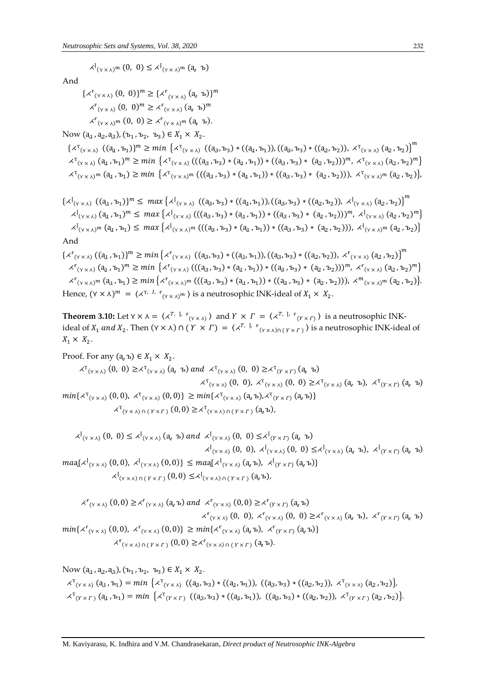$\lambda^{\left[1\atop{\gamma\times}\lambda\right]}^{m}(0, 0) \leq \lambda^{\left[1\atop{\gamma\times}\lambda\right]}^{m}(a, b)$ 

And

 $\{\lambda^{\mathrm{F}}_{(\gamma \times \lambda)}(0, 0)\}^m \geq \{\lambda^{\mathrm{F}}_{(\gamma \times \lambda)}(a, 0)\}^m$  $\langle \mathcal{A}^{\mathbf{F}}_{(\mathbf{Y}\times\mathbf{A})}(0, 0)^m \geq \mathcal{A}^{\mathbf{F}}_{(\mathbf{Y}\times\mathbf{A})}(a, \mathbf{b})^m \rangle$  $\chi^{\mathrm{F}}_{(\gamma \times \lambda)^m} (0, 0) \geq \chi^{\mathrm{F}}_{(\gamma \times \lambda)^m} (a_{\nu} b).$ 

Now  $(a_1, a_2, a_3)$ ,  $(b_1, b_2, b_3) \in X_1 \times X_2$ .

 $\{\chi^{\text{T}}_{(\gamma \times \lambda)} \; ((a_1, b_1))^m \geq min \; \{\chi^{\text{T}}_{(\gamma \times \lambda)} \; ((a_3, b_3) * ((a_1, b_1)), ((a_3, b_3) * ((a_2, b_2)), \; \chi^{\text{T}}_{(\gamma \times \lambda)} \; (a_2, b_2)\right\}^m$  $\lambda^{\text{T}}(\gamma \times \lambda)$   $(a_1, b_1)^m \ge \min \left\{ \lambda^{\text{T}}(\gamma \times \lambda) \left( ((a_3, b_3) * (a_1, b_1)) * ((a_3, b_3) * (a_2, b_2)) \right)^m, \lambda^{\text{T}}(\gamma \times \lambda) (a_2, b_2)^m \right\}$  $\lambda^{\mathsf{T}}(\gamma \times \lambda)^m$   $(a_1, b_1) \geq min \{ \lambda^{\mathsf{T}}(\gamma \times \lambda)^m \left( ((a_3, b_3) * (a_1, b_1)) * ((a_3, b_3) * (a_2, b_2)) \right), \lambda^{\mathsf{T}}(\gamma \times \lambda)^m (a_2, b_2) \}$ 

$$
\{\lambda^{l}(y \times \lambda) \ ( (a_{1}, b_{1}) \}^{m} \leq \max \{\lambda^{l}(y \times \lambda) \ ( (a_{3}, b_{3}) \ast ( (a_{1}, b_{1}) ), ((a_{3}, b_{3}) \ast ( (a_{2}, b_{2}) ), \lambda^{l}(y \times \lambda) (a_{2}, b_{2}) \}^{m}
$$
  
\n
$$
\lambda^{l}(y \times \lambda) (a_{1}, b_{1})^{m} \leq \max \{\lambda^{l}(y \times \lambda) \ ((a_{3}, b_{3}) \ast (a_{1}, b_{1})) \ast ((a_{3}, b_{3}) \ast (a_{2}, b_{2})) \}^{m}, \lambda^{l}(y \times \lambda) (a_{2}, b_{2})^{m} \}
$$
  
\n
$$
\{\lambda^{l}(y \times \lambda)^{m} (a_{1}, b_{1}) \leq \max \{\lambda^{l}(y \times \lambda)^{m} \ ((a_{3}, b_{3}) \ast (a_{1}, b_{1})) \ast ((a_{3}, b_{3}) \ast (a_{2}, b_{2})) \}, \lambda^{l}(y \times \lambda)^{m} (a_{2}, b_{2}) \}
$$
  
\nAnd

 $\{\lambda^{\mathbf{r}}_{(\gamma \times \lambda)} \left( (a_{1}, b_{1}) \right)^{m} \geq min \left\{ \lambda^{\mathbf{r}}_{(\gamma \times \lambda)} \left( (a_{3}, b_{3}) * \left( (a_{1}, b_{1}) \right), ((a_{3}, b_{3}) * \left( (a_{2}, b_{2}) \right), \right. \right. \right. \times_{\left. (\gamma \times \lambda) \right.} \left. (a_{2}, b_{2}) \right\}^{m}$  $\lambda^{\mathbf{f}}(\gamma \times \lambda)$   $(a_1, b_1)^m \ge \min \left\{ \lambda^{\mathbf{f}}(\gamma \times \lambda) \left( ((a_3, b_3) * (a_1, b_1)) * ((a_3, b_3) * (a_2, b_2)) \right)^m, \lambda^{\mathbf{f}}(\gamma \times \lambda) (a_2, b_2)^m \right\}$  $\lambda^{\mathrm{F}}(\gamma \times \lambda)^{m}$   $(a_{1}, b_{1}) \geq min \big\{ \lambda^{\mathrm{F}}(\gamma \times \lambda)^{m} \left( ((a_{3}, b_{3}) * (a_{1}, b_{1})) * ((a_{3}, b_{3}) * (a_{2}, b_{2})) \right), \lambda^{m}(\gamma \times \lambda)^{m} (a_{2}, b_{2}) \big\}$ Hence,  $(\forall \times \lambda)^m = (\measuredangle^{\tau, I, \mathbf{F}}_{(\forall \times \lambda)^m})$  is a neutrosophic INK-ideal of  $X_1 \times X_2$ .

**Theorem 3.10:** Let  $Y \times \lambda = \langle \lambda^{T, \varphi} \rangle^T$  and  $Y \times \Gamma = \langle \lambda^{T, \varphi} \rangle^T$  is a neutrosophic INKideal of  $X_1$  and  $X_2$ . Then  $(\gamma \times \lambda) \cap (Y \times \Gamma) = (\lambda^{T, \frac{1}{2} \cdot \frac{1}{2}}) \cdot (\gamma \times \lambda) \cap (\gamma \times \Gamma)$  is a neutrosophic INK-ideal of  $X_1 \times X_2$ .

Proof. For any  $(a_0 b) \in X_1 \times X_2$ .

$$
\langle X^{T}(Y \times A) \rangle (0, 0) \geq \langle X^{T}(Y \times A) \rangle (a, b) \text{ and } \langle X^{T}(Y \times A) \rangle (0, 0) \geq \langle X^{T}(Y \times T) \rangle (a, b) \rangle
$$

$$
\langle X^{T}(Y \times A) \rangle (0, 0), \langle X^{T}(Y \times A) \rangle (0, 0) \geq \langle X^{T}(Y \times A) \rangle (a, b), \langle X^{T}(Y \times T) \rangle (a, b) \rangle
$$

$$
\min \{ \langle X^{T}(Y \times A) \rangle (0, 0), \langle X^{T}(Y \times A) \rangle (0, 0) \} \geq \min \{ \langle X^{T}(Y \times A) \rangle (a, b), \langle X^{T}(Y \times T) \rangle (a, b) \}
$$

$$
\langle X^{T}(Y \times A) \rangle (Y \times T) (0, 0) \geq \langle X^{T}(Y \times A) \rangle (Y \times T) (a, b),
$$

$$
\begin{aligned}\n&\times^{l}(v \times \lambda) \ (0, 0) \leq \times^{l}(v \times \lambda) \ (a, b) \ and \ &\times^{l}(v \times \lambda) \ (0, 0) \leq \times^{l}(v \times r) \ (a, b) \\
&\times^{l}(v \times \lambda) \ (0, 0), \ &\times^{l}(v \times \lambda) \ (0, 0) \leq \times^{l}(v \times \lambda) \ (a, b), \ &\times^{l}(v \times r) \ (a, b) \\
&\times^{l}(v \times \lambda) \ (0, 0), \ &\times^{l}(v \times \lambda) \ (0, 0) \leq \max\{\times^{l}(v \times \lambda) \ (a, b), \ &\times^{l}(v \times r) \ (a, b)\} \\
&\times^{l}(v \times \lambda) \ (0, 0) \leq \times^{l}(v \times \lambda) \ (0, 0) \leq \times^{l}(v \times \lambda) \ (0, 0) \leq \lambda^{l}(v \times \lambda) \ (0, 0) \end{aligned}
$$

$$
\chi^{\mathbf{F}}(\gamma \times \lambda) (0,0) \geq \chi^{\mathbf{F}}(\gamma \times \lambda) (a, b) \text{ and } \chi^{\mathbf{F}}(\gamma \times \lambda) (0,0) \geq \chi^{\mathbf{F}}(\gamma \times \Gamma) (a, b)
$$
\n
$$
\chi^{\mathbf{F}}(\gamma \times \lambda) (0, 0), \chi^{\mathbf{F}}(\gamma \times \lambda) (0, 0) \geq \chi^{\mathbf{F}}(\gamma \times \lambda) (a, b), \chi^{\mathbf{F}}(\gamma \times \Gamma) (a, b)
$$
\n
$$
\min \{\chi^{\mathbf{F}}(\gamma \times \lambda) (0, 0), \chi^{\mathbf{F}}(\gamma \times \lambda) (0, 0) \} \geq \min \{\chi^{\mathbf{F}}(\gamma \times \lambda) (a, b), \chi^{\mathbf{F}}(\gamma \times \Gamma) (a, b) \}
$$
\n
$$
\chi^{\mathbf{F}}(\gamma \times \lambda) (1, 0) \geq \chi^{\mathbf{F}}(\gamma \times \lambda) (1, 0) \geq \chi^{\mathbf{F}}(\gamma \times \lambda) (1, 0) \times \chi^{\mathbf{F}}(\gamma \times \Gamma) (a, b).
$$

Now  $(a_1, a_2, a_3)$ ,  $(b_1, b_2, b_3) \in X_1 \times X_2$ .  $\lambda^{\text{T}}(\gamma \times \lambda)$  ( $a_1, b_1$ ) = min { $\lambda^{\text{T}}(\gamma \times \lambda)$  (( $a_3, b_3$ ) \* (( $a_1, b_1$ )), ( $(a_3, b_3)$  \* (( $a_2, b_2$ )),  $\lambda^{\text{T}}(\gamma \times \lambda)$  ( $a_2, b_2$ )},  $\lambda^T(\gamma \times \Gamma)$  ( $a_1$ ,  $b_1$ ) = min { $\lambda^T(\gamma \times \Gamma)$  (( $a_3$ ,  $b_3$ ) \* (( $a_4$ ,  $b_1$ )), (( $a_3$ ,  $b_3$ ) \* (( $a_2$ ,  $b_2$ )),  $\lambda^T(\gamma \times \Gamma)$  ( $a_2$ ,  $b_2$ )).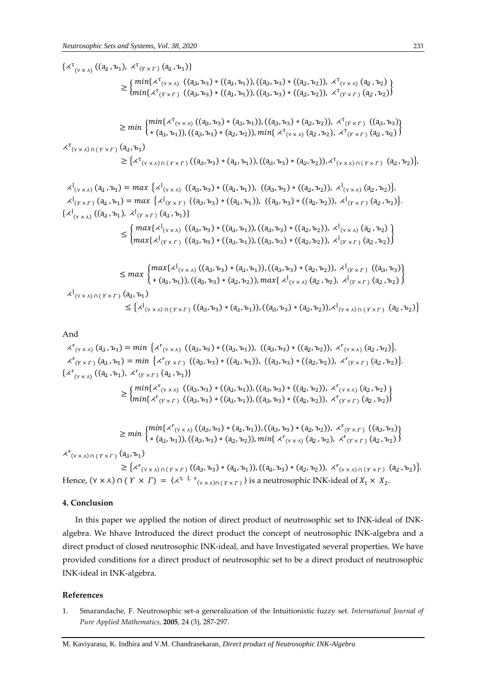$\{x^{T}(y \times A) ((a_{1}, b_{1}), x^{T}(y \times r) (a_{1}, b_{1}))\}$  $\geq \int min\{x^{T}(y \times \lambda) \cdot ((a_3, b_3) * ((a_4, b_1)), ((a_3, b_3) * ((a_2, b_2)), x^{T}(y \times \lambda) \cdot (a_2, b_2))\}$  $min\{x^{\tau}(x \times r) \mid ((a_3, b_3) * ((a_4, b_1)), ((a_3, b_3) * ((a_2, b_2)), x^{\tau}(x \times r) (a_2, b_2))\}$  $\geq min \left\{ \frac{x^{\mathrm{T}}(x \times \lambda)}{(a_3, b_3)} \cdot (a_1, b_1), ((a_3, b_3) \cdot (a_2, b_2)), \, x^{\mathrm{T}}(x \times r) \right.$   $\left. \frac{(a_3, b_3)}{(a_3, b_3)} \cdot (a_1, b_1), ((a_3, b_3) \cdot (a_2, b_2)\right\}$  $*(a_1, b_1)), ((a_3, b_3) * (a_2, b_2)), min\{x^T(x x) (a_2, b_2), x^T(x x) (a_2, b_2)\}$  $\chi^{\mathfrak{r}}_{(\mathsf{Y}\times\mathsf{X})\cap(\mathsf{Y}\times\mathsf{\Gamma})}(\mathsf{a}_{\mathsf{1}},\mathsf{b}_{\mathsf{1}})$  $\geq {\{\langle \mathcal{X}^{\mathsf{T}}_{(\gamma \times \lambda) \cap (\gamma \times \Gamma)} ((\mathsf{a}_{3},\mathsf{b}_{3}) * (\mathsf{a}_{4},\mathsf{b}_{1})) , ((\mathsf{a}_{3},\mathsf{b}_{3}) * (\mathsf{a}_{2},\mathsf{b}_{2})) , \mathcal{X}^{\mathsf{T}}_{(\gamma \times \lambda) \cap (\gamma \times \Gamma)} (\mathsf{a}_{2},\mathsf{b}_{2}) \}}$  $\lambda^{\{v_{(x,x)}\}}(a_1, b_1) = max \{\lambda^{\{v_{(x,x)}\}}((a_3, b_3) * ((a_1, b_1)), ((a_3, b_3) * ((a_2, b_2)), \lambda^{\{v_{(x,x)}\}}(a_2, b_2))\}$  $\lambda^{\{t\}}(Y\times Y)$  ( $a_1, b_1$ ) = max { $\lambda^{\{t\}}(Y\times Y)$  (( $a_3, b_3$ ) \* (( $a_4, b_1$ )), ( $(a_3, b_3)$  \* (( $a_2, b_2$ )),  $\lambda^{\{t\}}(Y\times Y)$  ( $a_2, b_2$ )}.  $\{\lambda^l_{(Y\times\lambda)}((a_1, b_1), \lambda^l_{(Y\times\Gamma)}(a_1, b_1))\}$  $\leq \int \max\{\lambda^{\left[ \right.}_{(\gamma \times \lambda)} \left( (a_3, b_3) * ((a_1, b_1) \right), ((a_3, b_3) * ((a_2, b_2)) \right), \lambda^{\left[ \right.}_{(\gamma \times \lambda)} (a_2, b_2) \right\}$  $max\{x^1_{(Y \times Y)}((a_3, b_3) * ((a_4, b_1)), ((a_3, b_3) * ((a_2, b_2)), x^1_{(Y \times Y)} (a_2, b_2))\}$ 

$$
\leq \max \begin{cases} \max \{ \lambda^{l}(y \times \lambda) \left( (a_{3}, b_{3}) * (a_{1}, b_{1}) \right), ((a_{3}, b_{3}) * (a_{2}, b_{2}) \right), \lambda^{l}(y \times r) \left( (a_{3}, b_{3}) \right) \\ * (a_{1}, b_{1}) \right), ((a_{3}, b_{3}) * (a_{2}, b_{2}) \right), \max \{ \lambda^{l}(y \times \lambda) \left( (a_{2}, b_{2}) \right), \lambda^{l}(y \times r) \left( (a_{2}, b_{2}) \right) \} \\ \times \{ \lambda^{l}(y \times \lambda) \cap (Y \times r) \left( (a_{1}, b_{1}) \right) \\ \leq \{ \lambda^{l}(y \times \lambda) \cap (Y \times r) \left( (a_{3}, b_{3}) * (a_{1}, b_{1}) \right), ((a_{3}, b_{3}) * (a_{2}, b_{2}) \right), \lambda^{l}(y \times \lambda) \cap (Y \times r) \left( (a_{2}, b_{2}) \right) \} \end{cases}
$$

#### And

 $\lambda^{\mathbf{F}}$ <sub>(Y ×  $\lambda$ )</sub> ( $\mathbf{q}_1$ ,  $\mathbf{b}_1$ ) =  $min \{ \lambda^{\mathbf{F}}$  ( $\lambda \times \lambda$ ) (( $\mathbf{q}_3$ ,  $\mathbf{b}_3$ ) \* (( $\mathbf{q}_1$ ,  $\mathbf{b}_1$ )), (( $\mathbf{q}_3$ ,  $\mathbf{b}_3$ ) \* (( $\mathbf{q}_2$ ,  $\mathbf{b}_2$ )),  $\lambda^{\mathbf{F}}$  ( $\mathbf{v} \times \lambda$ ) ( $\mathbf{q}_2$ ,  $\math$  $\lambda^{\mathbf{F}}$ <sub>( $\gamma \times \Gamma$ )</sub> ( $\mathbf{a}_1$ ,  $\mathbf{b}_1$ ) =  $min \{ \lambda^{\mathbf{F}}$ ( $\gamma \times \Gamma$ ) (( $\mathbf{a}_3$ ,  $\mathbf{b}_3$ ) \* (( $\mathbf{a}_4$ ,  $\mathbf{b}_1$ )), (( $\mathbf{a}_3$ ,  $\mathbf{b}_3$ ) \* (( $\mathbf{a}_2$ ,  $\mathbf{b}_2$ )),  $\lambda^{\mathbf{F}}$ ( $\gamma \times \Gamma$ ) ( $\mathbf{a}_2$ ,  $\mathbf{b}_2$  $\{x_{(Y\times\lambda)}^F((a_1, b_1), x_{(Y\times\Gamma)}^F(a_1, b_1)\}\$ 

$$
\geq \{\min\{\lambda^{r}(y \times \lambda) \ ((a_{3}, b_{3}) * ((a_{1}, b_{1})), ((a_{3}, b_{3}) * ((a_{2}, b_{2})), \lambda^{r}(y \times \lambda) (a_{2}, b_{2}))\} \\\leq \min\{\lambda^{r}(y \times r) \ ((a_{3}, b_{3}) * ((a_{1}, b_{1})), ((a_{3}, b_{3}) * ((a_{2}, b_{2})), \lambda^{r}(y \times r) (a_{2}, b_{2}))\}
$$

$$
\geq min \begin{cases} min\{x_{(\gamma \times \lambda)}((a_3, b_3) * (a_1, b_1)), ((a_3, b_3) * (a_2, b_2)), x_{(\gamma \times \Gamma)}((a_3, b_3))\\ * (a_1, b_1)), ((a_3, b_3) * (a_2, b_2)), min\{x_{(\gamma \times \lambda)}(a_2, b_2), x_{(\gamma \times \Gamma)}(a_2, b_2)\}\end{cases}
$$

 $\chi^{\mathrm{F}}_{(\gamma \times \lambda) \cap (\gamma \times \Gamma)}$   $(a_1, b_1)$ 

 $\geq {\{\langle \mathbf{x}_{(\gamma \times \lambda) \cap (\gamma \times \Gamma)}((\mathbf{a}_{3}, \mathbf{b}_{3}) * (\mathbf{a}_{1}, \mathbf{b}_{1}))}, ((\mathbf{a}_{3}, \mathbf{b}_{3}) * (\mathbf{a}_{2}, \mathbf{b}_{2}))}, \mathbf{x}_{(\gamma \times \lambda) \cap (\gamma \times \Gamma)}(\mathbf{a}_{2}, \mathbf{b}_{2})\}.$ Hence,  $(\forall \times \lambda) \cap (Y \times \Gamma) = (\{ \forall^{\tau, \xi, \xi} \}_{\tau(\forall \times \lambda) \cap (Y \times \Gamma)} )$  is a neutrosophic INK-ideal of  $X_1 \times X_2$ .

#### **4. Conclusion**

In this paper we applied the notion of direct product of neutrosophic set to INK-ideal of INKalgebra. We hhave Introduced the direct product the concept of neutrosophic INK-algebra and a direct product of closed neutrosophic INK-ideal, and have Investigated several properties. We have provided conditions for a direct product of neutrosophic set to be a direct product of neutrosophic INK-ideal in INK-algebra.

#### **References**

1. Smarandache, F. Neutrosophic set-a generalization of the Intuitionistic fuzzy set*. International Journal of Pure Applied Mathematics,* **2005**, 24 (3), 287-297.